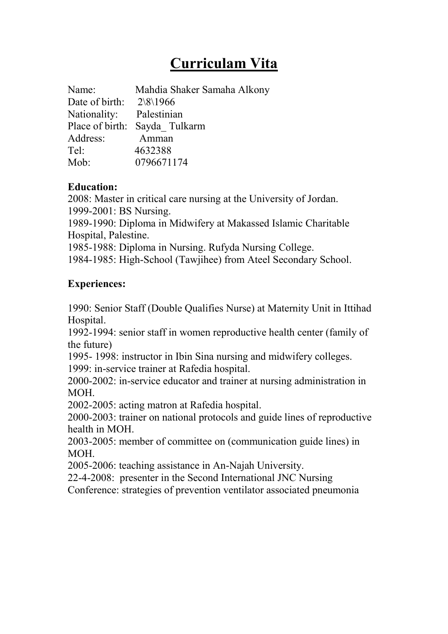# **Curriculam Vita**

| Name:                          | Mahdia Shaker Samaha Alkony   |
|--------------------------------|-------------------------------|
| Date of birth: $2\sqrt{8}1966$ |                               |
| Nationality: Palestinian       |                               |
|                                | Place of birth: Sayda Tulkarm |
| Address:                       | Amman                         |
| Tel:                           | 4632388                       |
| Mob:                           | 0796671174                    |

## **Education:**

2008: Master in critical care nursing at the University of Jordan.

1999-2001: BS Nursing.

1989-1990: Diploma in Midwifery at Makassed Islamic Charitable Hospital, Palestine.

1985-1988: Diploma in Nursing. Rufyda Nursing College.

1984-1985: High-School (Tawjihee) from Ateel Secondary School.

# **Experiences:**

1990: Senior Staff (Double Qualifies Nurse) at Maternity Unit in Ittihad Hospital.

1992-1994: senior staff in women reproductive health center (family of the future)

1995- 1998: instructor in Ibin Sina nursing and midwifery colleges.

1999: in-service trainer at Rafedia hospital.

2000-2002: in-service educator and trainer at nursing administration in MOH.

2002-2005: acting matron at Rafedia hospital.

2000-2003: trainer on national protocols and guide lines of reproductive health in MOH.

2003-2005: member of committee on (communication guide lines) in MOH.

2005-2006: teaching assistance in An-Najah University.

22-4-2008: presenter in the Second International JNC Nursing

Conference: strategies of prevention ventilator associated pneumonia